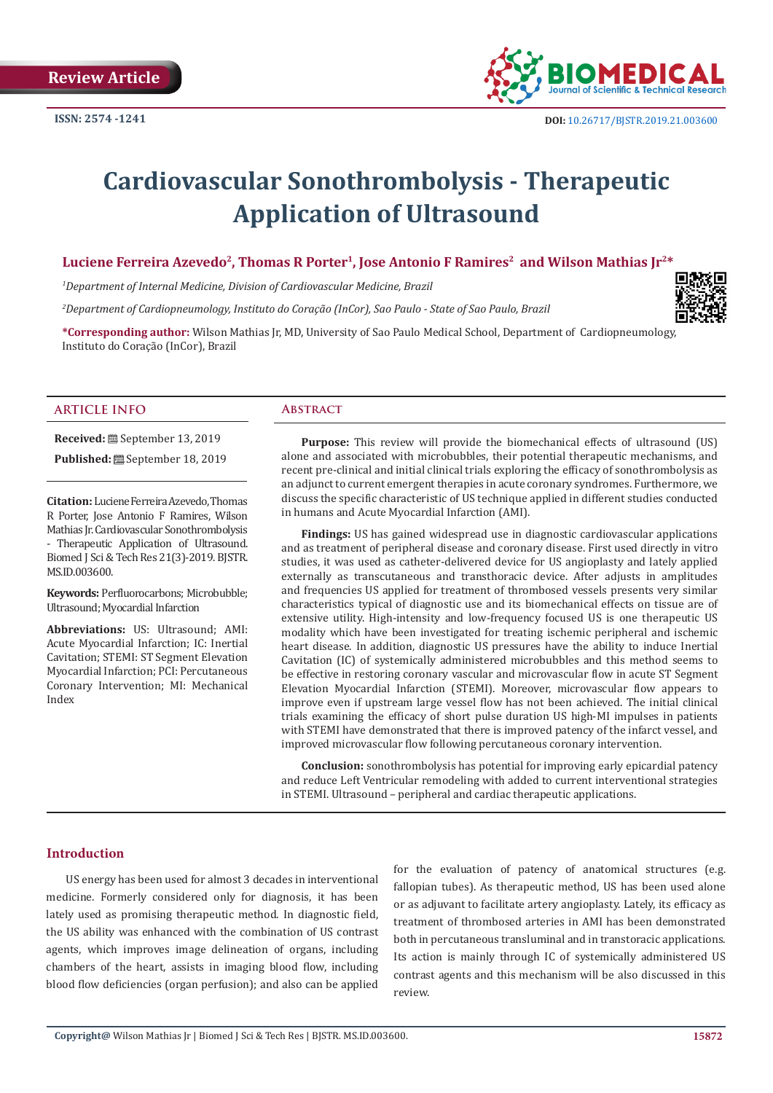

# **Cardiovascular Sonothrombolysis - Therapeutic Application of Ultrasound**

## Luciene Ferreira Azevedo<sup>2</sup>, Thomas R Porter<sup>1</sup>, Jose Antonio F Ramires<sup>2</sup> and Wilson Mathias Jr<sup>2\*</sup>

*1 Department of Internal Medicine, Division of Cardiovascular Medicine, Brazil*

*2 Department of Cardiopneumology, Instituto do Coração (InCor), Sao Paulo - State of Sao Paulo, Brazil*



#### **ARTICLE INFO Abstract**

**Received:** September 13, 2019

**Published:** September 18, 2019

**Citation:** Luciene Ferreira Azevedo, Thomas R Porter, Jose Antonio F Ramires, Wilson Mathias Jr. Cardiovascular Sonothrombolysis - Therapeutic Application of Ultrasound. Biomed J Sci & Tech Res 21(3)-2019. BJSTR. MS.ID.003600.

**Keywords:** Perfluorocarbons; Microbubble; Ultrasound; Myocardial Infarction

**Abbreviations:** US: Ultrasound; AMI: Acute Myocardial Infarction; IC: Inertial Cavitation; STEMI: ST Segment Elevation Myocardial Infarction; PCI: Percutaneous Coronary Intervention; MI: Mechanical Index

**Purpose:** This review will provide the biomechanical effects of ultrasound (US) alone and associated with microbubbles, their potential therapeutic mechanisms, and recent pre-clinical and initial clinical trials exploring the efficacy of sonothrombolysis as an adjunct to current emergent therapies in acute coronary syndromes. Furthermore, we discuss the specific characteristic of US technique applied in different studies conducted in humans and Acute Myocardial Infarction (AMI).

**Findings:** US has gained widespread use in diagnostic cardiovascular applications and as treatment of peripheral disease and coronary disease. First used directly in vitro studies, it was used as catheter-delivered device for US angioplasty and lately applied externally as transcutaneous and transthoracic device. After adjusts in amplitudes and frequencies US applied for treatment of thrombosed vessels presents very similar characteristics typical of diagnostic use and its biomechanical effects on tissue are of extensive utility. High-intensity and low-frequency focused US is one therapeutic US modality which have been investigated for treating ischemic peripheral and ischemic heart disease. In addition, diagnostic US pressures have the ability to induce Inertial Cavitation (IC) of systemically administered microbubbles and this method seems to be effective in restoring coronary vascular and microvascular flow in acute ST Segment Elevation Myocardial Infarction (STEMI). Moreover, microvascular flow appears to improve even if upstream large vessel flow has not been achieved. The initial clinical trials examining the efficacy of short pulse duration US high-MI impulses in patients with STEMI have demonstrated that there is improved patency of the infarct vessel, and improved microvascular flow following percutaneous coronary intervention.

**Conclusion:** sonothrombolysis has potential for improving early epicardial patency and reduce Left Ventricular remodeling with added to current interventional strategies in STEMI. Ultrasound – peripheral and cardiac therapeutic applications.

### **Introduction**

US energy has been used for almost 3 decades in interventional medicine. Formerly considered only for diagnosis, it has been lately used as promising therapeutic method. In diagnostic field, the US ability was enhanced with the combination of US contrast agents, which improves image delineation of organs, including chambers of the heart, assists in imaging blood flow, including blood flow deficiencies (organ perfusion); and also can be applied

for the evaluation of patency of anatomical structures (e.g. fallopian tubes). As therapeutic method, US has been used alone or as adjuvant to facilitate artery angioplasty. Lately, its efficacy as treatment of thrombosed arteries in AMI has been demonstrated both in percutaneous transluminal and in transtoracic applications. Its action is mainly through IC of systemically administered US contrast agents and this mechanism will be also discussed in this review.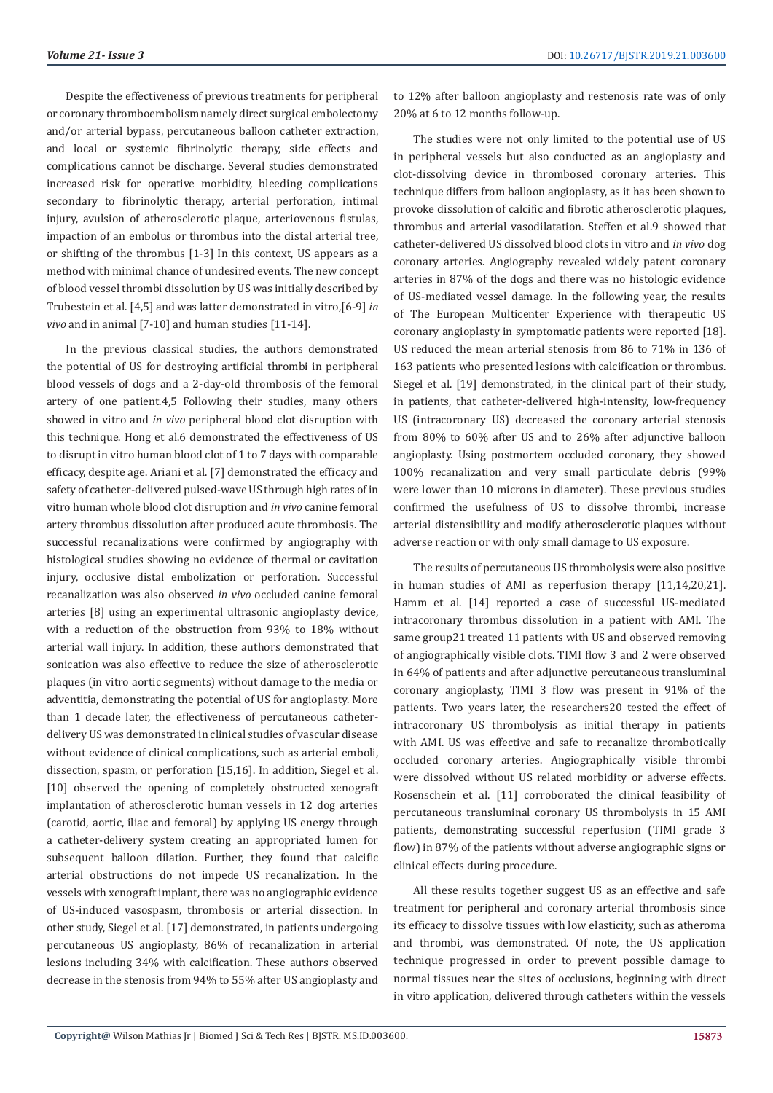Despite the effectiveness of previous treatments for peripheral or coronary thromboembolism namely direct surgical embolectomy and/or arterial bypass, percutaneous balloon catheter extraction, and local or systemic fibrinolytic therapy, side effects and complications cannot be discharge. Several studies demonstrated increased risk for operative morbidity, bleeding complications secondary to fibrinolytic therapy, arterial perforation, intimal injury, avulsion of atherosclerotic plaque, arteriovenous fistulas, impaction of an embolus or thrombus into the distal arterial tree, or shifting of the thrombus [1-3] In this context, US appears as a method with minimal chance of undesired events. The new concept of blood vessel thrombi dissolution by US was initially described by Trubestein et al. [4,5] and was latter demonstrated in vitro,[6-9] *in vivo* and in animal [7-10] and human studies [11-14].

In the previous classical studies, the authors demonstrated the potential of US for destroying artificial thrombi in peripheral blood vessels of dogs and a 2-day-old thrombosis of the femoral artery of one patient.4,5 Following their studies, many others showed in vitro and *in vivo* peripheral blood clot disruption with this technique. Hong et al.6 demonstrated the effectiveness of US to disrupt in vitro human blood clot of 1 to 7 days with comparable efficacy, despite age. Ariani et al. [7] demonstrated the efficacy and safety of catheter-delivered pulsed-wave US through high rates of in vitro human whole blood clot disruption and *in vivo* canine femoral artery thrombus dissolution after produced acute thrombosis. The successful recanalizations were confirmed by angiography with histological studies showing no evidence of thermal or cavitation injury, occlusive distal embolization or perforation. Successful recanalization was also observed *in vivo* occluded canine femoral arteries [8] using an experimental ultrasonic angioplasty device, with a reduction of the obstruction from 93% to 18% without arterial wall injury. In addition, these authors demonstrated that sonication was also effective to reduce the size of atherosclerotic plaques (in vitro aortic segments) without damage to the media or adventitia, demonstrating the potential of US for angioplasty. More than 1 decade later, the effectiveness of percutaneous catheterdelivery US was demonstrated in clinical studies of vascular disease without evidence of clinical complications, such as arterial emboli, dissection, spasm, or perforation [15,16]. In addition, Siegel et al. [10] observed the opening of completely obstructed xenograft implantation of atherosclerotic human vessels in 12 dog arteries (carotid, aortic, iliac and femoral) by applying US energy through a catheter-delivery system creating an appropriated lumen for subsequent balloon dilation. Further, they found that calcific arterial obstructions do not impede US recanalization. In the vessels with xenograft implant, there was no angiographic evidence of US-induced vasospasm, thrombosis or arterial dissection. In other study, Siegel et al. [17] demonstrated, in patients undergoing percutaneous US angioplasty, 86% of recanalization in arterial lesions including 34% with calcification. These authors observed decrease in the stenosis from 94% to 55% after US angioplasty and

to 12% after balloon angioplasty and restenosis rate was of only 20% at 6 to 12 months follow-up.

The studies were not only limited to the potential use of US in peripheral vessels but also conducted as an angioplasty and clot-dissolving device in thrombosed coronary arteries. This technique differs from balloon angioplasty, as it has been shown to provoke dissolution of calcific and fibrotic atherosclerotic plaques, thrombus and arterial vasodilatation. Steffen et al.9 showed that catheter-delivered US dissolved blood clots in vitro and *in vivo* dog coronary arteries. Angiography revealed widely patent coronary arteries in 87% of the dogs and there was no histologic evidence of US-mediated vessel damage. In the following year, the results of The European Multicenter Experience with therapeutic US coronary angioplasty in symptomatic patients were reported [18]. US reduced the mean arterial stenosis from 86 to 71% in 136 of 163 patients who presented lesions with calcification or thrombus. Siegel et al. [19] demonstrated, in the clinical part of their study, in patients, that catheter-delivered high-intensity, low-frequency US (intracoronary US) decreased the coronary arterial stenosis from 80% to 60% after US and to 26% after adjunctive balloon angioplasty. Using postmortem occluded coronary, they showed 100% recanalization and very small particulate debris (99% were lower than 10 microns in diameter). These previous studies confirmed the usefulness of US to dissolve thrombi, increase arterial distensibility and modify atherosclerotic plaques without adverse reaction or with only small damage to US exposure.

The results of percutaneous US thrombolysis were also positive in human studies of AMI as reperfusion therapy [11,14,20,21]. Hamm et al. [14] reported a case of successful US-mediated intracoronary thrombus dissolution in a patient with AMI. The same group21 treated 11 patients with US and observed removing of angiographically visible clots. TIMI flow 3 and 2 were observed in 64% of patients and after adjunctive percutaneous transluminal coronary angioplasty, TIMI 3 flow was present in 91% of the patients. Two years later, the researchers20 tested the effect of intracoronary US thrombolysis as initial therapy in patients with AMI. US was effective and safe to recanalize thrombotically occluded coronary arteries. Angiographically visible thrombi were dissolved without US related morbidity or adverse effects. Rosenschein et al. [11] corroborated the clinical feasibility of percutaneous transluminal coronary US thrombolysis in 15 AMI patients, demonstrating successful reperfusion (TIMI grade 3 flow) in 87% of the patients without adverse angiographic signs or clinical effects during procedure.

All these results together suggest US as an effective and safe treatment for peripheral and coronary arterial thrombosis since its efficacy to dissolve tissues with low elasticity, such as atheroma and thrombi, was demonstrated. Of note, the US application technique progressed in order to prevent possible damage to normal tissues near the sites of occlusions, beginning with direct in vitro application, delivered through catheters within the vessels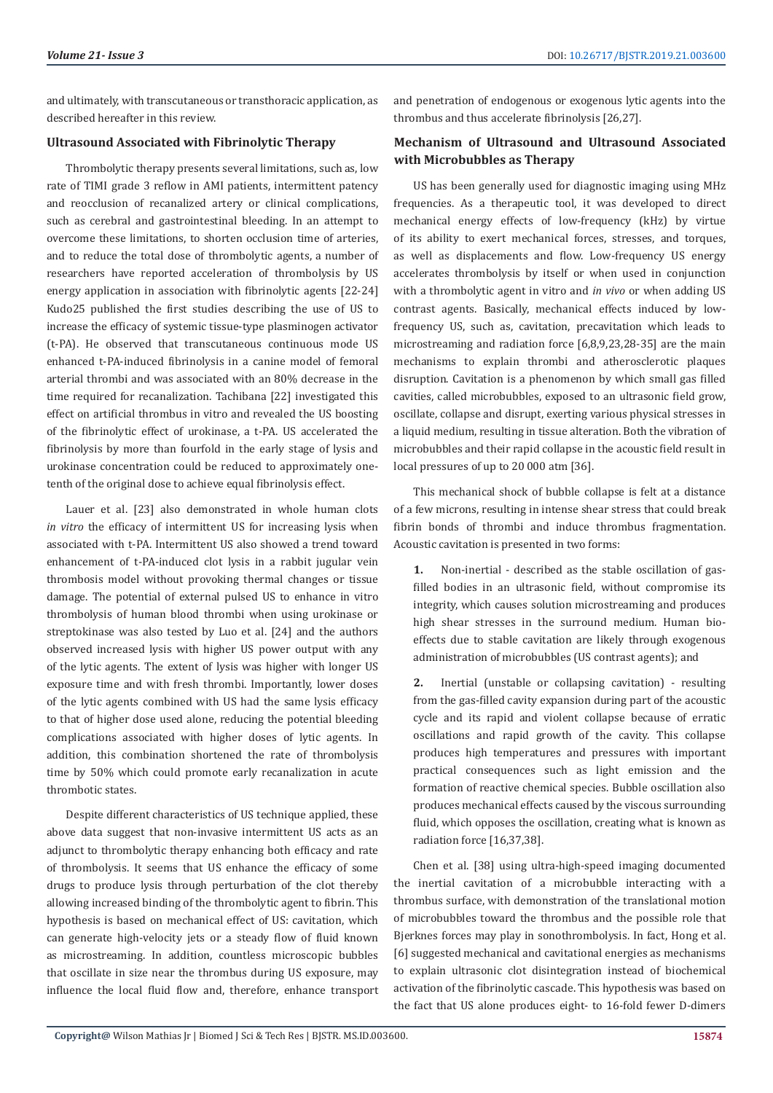and ultimately, with transcutaneous or transthoracic application, as described hereafter in this review.

#### **Ultrasound Associated with Fibrinolytic Therapy**

Thrombolytic therapy presents several limitations, such as, low rate of TIMI grade 3 reflow in AMI patients, intermittent patency and reocclusion of recanalized artery or clinical complications, such as cerebral and gastrointestinal bleeding. In an attempt to overcome these limitations, to shorten occlusion time of arteries, and to reduce the total dose of thrombolytic agents, a number of researchers have reported acceleration of thrombolysis by US energy application in association with fibrinolytic agents [22-24] Kudo25 published the first studies describing the use of US to increase the efficacy of systemic tissue-type plasminogen activator (t-PA). He observed that transcutaneous continuous mode US enhanced t-PA-induced fibrinolysis in a canine model of femoral arterial thrombi and was associated with an 80% decrease in the time required for recanalization. Tachibana [22] investigated this effect on artificial thrombus in vitro and revealed the US boosting of the fibrinolytic effect of urokinase, a t-PA. US accelerated the fibrinolysis by more than fourfold in the early stage of lysis and urokinase concentration could be reduced to approximately onetenth of the original dose to achieve equal fibrinolysis effect.

Lauer et al. [23] also demonstrated in whole human clots *in vitro* the efficacy of intermittent US for increasing lysis when associated with t-PA. Intermittent US also showed a trend toward enhancement of t-PA-induced clot lysis in a rabbit jugular vein thrombosis model without provoking thermal changes or tissue damage. The potential of external pulsed US to enhance in vitro thrombolysis of human blood thrombi when using urokinase or streptokinase was also tested by Luo et al. [24] and the authors observed increased lysis with higher US power output with any of the lytic agents. The extent of lysis was higher with longer US exposure time and with fresh thrombi. Importantly, lower doses of the lytic agents combined with US had the same lysis efficacy to that of higher dose used alone, reducing the potential bleeding complications associated with higher doses of lytic agents. In addition, this combination shortened the rate of thrombolysis time by 50% which could promote early recanalization in acute thrombotic states.

Despite different characteristics of US technique applied, these above data suggest that non-invasive intermittent US acts as an adjunct to thrombolytic therapy enhancing both efficacy and rate of thrombolysis. It seems that US enhance the efficacy of some drugs to produce lysis through perturbation of the clot thereby allowing increased binding of the thrombolytic agent to fibrin. This hypothesis is based on mechanical effect of US: cavitation, which can generate high-velocity jets or a steady flow of fluid known as microstreaming. In addition, countless microscopic bubbles that oscillate in size near the thrombus during US exposure, may influence the local fluid flow and, therefore, enhance transport and penetration of endogenous or exogenous lytic agents into the thrombus and thus accelerate fibrinolysis [26,27].

# **Mechanism of Ultrasound and Ultrasound Associated with Microbubbles as Therapy**

US has been generally used for diagnostic imaging using MHz frequencies. As a therapeutic tool, it was developed to direct mechanical energy effects of low-frequency (kHz) by virtue of its ability to exert mechanical forces, stresses, and torques, as well as displacements and flow. Low-frequency US energy accelerates thrombolysis by itself or when used in conjunction with a thrombolytic agent in vitro and *in vivo* or when adding US contrast agents. Basically, mechanical effects induced by lowfrequency US, such as, cavitation, precavitation which leads to microstreaming and radiation force [6,8,9,23,28-35] are the main mechanisms to explain thrombi and atherosclerotic plaques disruption. Cavitation is a phenomenon by which small gas filled cavities, called microbubbles, exposed to an ultrasonic field grow, oscillate, collapse and disrupt, exerting various physical stresses in a liquid medium, resulting in tissue alteration. Both the vibration of microbubbles and their rapid collapse in the acoustic field result in local pressures of up to 20 000 atm [36].

This mechanical shock of bubble collapse is felt at a distance of a few microns, resulting in intense shear stress that could break fibrin bonds of thrombi and induce thrombus fragmentation. Acoustic cavitation is presented in two forms:

**1.** Non-inertial - described as the stable oscillation of gasfilled bodies in an ultrasonic field, without compromise its integrity, which causes solution microstreaming and produces high shear stresses in the surround medium. Human bioeffects due to stable cavitation are likely through exogenous administration of microbubbles (US contrast agents); and

**2.** Inertial (unstable or collapsing cavitation) - resulting from the gas-filled cavity expansion during part of the acoustic cycle and its rapid and violent collapse because of erratic oscillations and rapid growth of the cavity. This collapse produces high temperatures and pressures with important practical consequences such as light emission and the formation of reactive chemical species. Bubble oscillation also produces mechanical effects caused by the viscous surrounding fluid, which opposes the oscillation, creating what is known as radiation force [16,37,38].

Chen et al. [38] using ultra-high-speed imaging documented the inertial cavitation of a microbubble interacting with a thrombus surface, with demonstration of the translational motion of microbubbles toward the thrombus and the possible role that Bjerknes forces may play in sonothrombolysis. In fact, Hong et al. [6] suggested mechanical and cavitational energies as mechanisms to explain ultrasonic clot disintegration instead of biochemical activation of the fibrinolytic cascade. This hypothesis was based on the fact that US alone produces eight- to 16-fold fewer D-dimers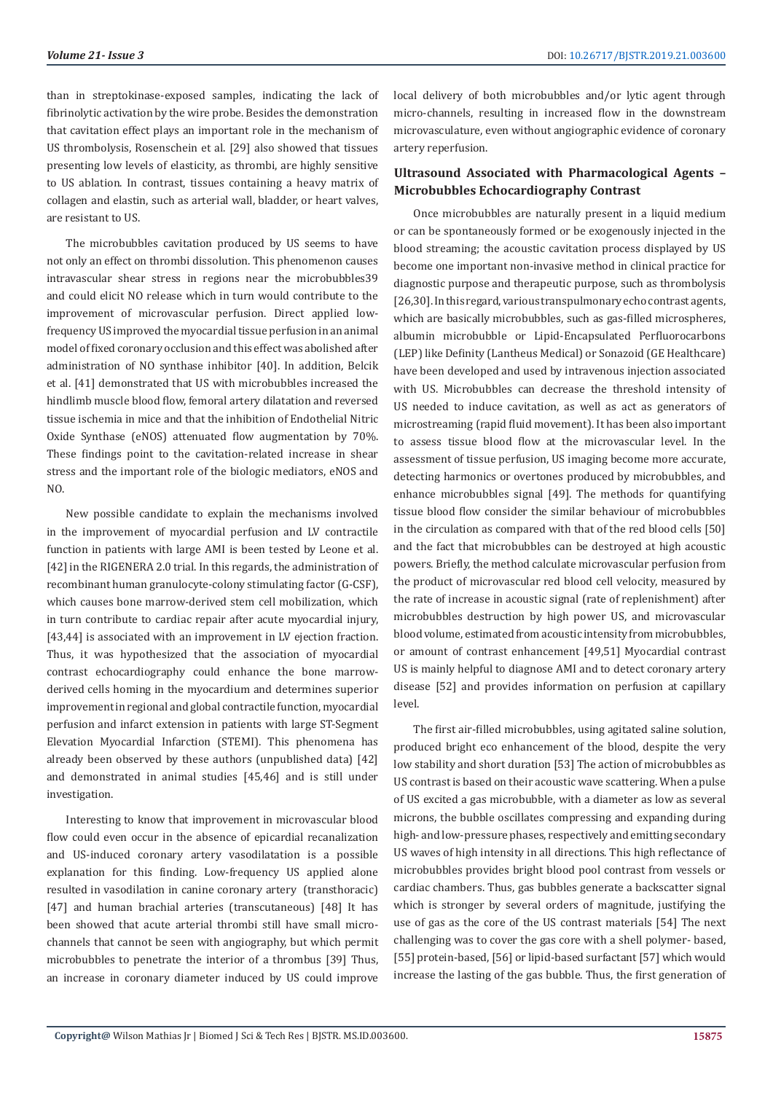than in streptokinase-exposed samples, indicating the lack of fibrinolytic activation by the wire probe. Besides the demonstration that cavitation effect plays an important role in the mechanism of US thrombolysis, Rosenschein et al. [29] also showed that tissues presenting low levels of elasticity, as thrombi, are highly sensitive to US ablation. In contrast, tissues containing a heavy matrix of collagen and elastin, such as arterial wall, bladder, or heart valves, are resistant to US.

The microbubbles cavitation produced by US seems to have not only an effect on thrombi dissolution. This phenomenon causes intravascular shear stress in regions near the microbubbles39 and could elicit NO release which in turn would contribute to the improvement of microvascular perfusion. Direct applied lowfrequency US improved the myocardial tissue perfusion in an animal model of fixed coronary occlusion and this effect was abolished after administration of NO synthase inhibitor [40]. In addition, Belcik et al. [41] demonstrated that US with microbubbles increased the hindlimb muscle blood flow, femoral artery dilatation and reversed tissue ischemia in mice and that the inhibition of Endothelial Nitric Oxide Synthase (eNOS) attenuated flow augmentation by 70%. These findings point to the cavitation-related increase in shear stress and the important role of the biologic mediators, eNOS and NO.

New possible candidate to explain the mechanisms involved in the improvement of myocardial perfusion and LV contractile function in patients with large AMI is been tested by Leone et al. [42] in the RIGENERA 2.0 trial. In this regards, the administration of recombinant human granulocyte-colony stimulating factor (G-CSF), which causes bone marrow-derived stem cell mobilization, which in turn contribute to cardiac repair after acute myocardial injury, [43,44] is associated with an improvement in LV ejection fraction. Thus, it was hypothesized that the association of myocardial contrast echocardiography could enhance the bone marrowderived cells homing in the myocardium and determines superior improvement in regional and global contractile function, myocardial perfusion and infarct extension in patients with large ST-Segment Elevation Myocardial Infarction (STEMI). This phenomena has already been observed by these authors (unpublished data) [42] and demonstrated in animal studies [45,46] and is still under investigation.

Interesting to know that improvement in microvascular blood flow could even occur in the absence of epicardial recanalization and US-induced coronary artery vasodilatation is a possible explanation for this finding. Low-frequency US applied alone resulted in vasodilation in canine coronary artery (transthoracic) [47] and human brachial arteries (transcutaneous) [48] It has been showed that acute arterial thrombi still have small microchannels that cannot be seen with angiography, but which permit microbubbles to penetrate the interior of a thrombus [39] Thus, an increase in coronary diameter induced by US could improve

local delivery of both microbubbles and/or lytic agent through micro-channels, resulting in increased flow in the downstream microvasculature, even without angiographic evidence of coronary artery reperfusion.

# **Ultrasound Associated with Pharmacological Agents – Microbubbles Echocardiography Contrast**

Once microbubbles are naturally present in a liquid medium or can be spontaneously formed or be exogenously injected in the blood streaming; the acoustic cavitation process displayed by US become one important non-invasive method in clinical practice for diagnostic purpose and therapeutic purpose, such as thrombolysis [26,30]. In this regard, various transpulmonary echo contrast agents, which are basically microbubbles, such as gas-filled microspheres, albumin microbubble or Lipid-Encapsulated Perfluorocarbons (LEP) like Definity (Lantheus Medical) or Sonazoid (GE Healthcare) have been developed and used by intravenous injection associated with US. Microbubbles can decrease the threshold intensity of US needed to induce cavitation, as well as act as generators of microstreaming (rapid fluid movement). It has been also important to assess tissue blood flow at the microvascular level. In the assessment of tissue perfusion, US imaging become more accurate, detecting harmonics or overtones produced by microbubbles, and enhance microbubbles signal [49]. The methods for quantifying tissue blood flow consider the similar behaviour of microbubbles in the circulation as compared with that of the red blood cells [50] and the fact that microbubbles can be destroyed at high acoustic powers. Briefly, the method calculate microvascular perfusion from the product of microvascular red blood cell velocity, measured by the rate of increase in acoustic signal (rate of replenishment) after microbubbles destruction by high power US, and microvascular blood volume, estimated from acoustic intensity from microbubbles, or amount of contrast enhancement [49,51] Myocardial contrast US is mainly helpful to diagnose AMI and to detect coronary artery disease [52] and provides information on perfusion at capillary level.

The first air-filled microbubbles, using agitated saline solution, produced bright eco enhancement of the blood, despite the very low stability and short duration [53] The action of microbubbles as US contrast is based on their acoustic wave scattering. When a pulse of US excited a gas microbubble, with a diameter as low as several microns, the bubble oscillates compressing and expanding during high- and low-pressure phases, respectively and emitting secondary US waves of high intensity in all directions. This high reflectance of microbubbles provides bright blood pool contrast from vessels or cardiac chambers. Thus, gas bubbles generate a backscatter signal which is stronger by several orders of magnitude, justifying the use of gas as the core of the US contrast materials [54] The next challenging was to cover the gas core with a shell polymer- based, [55] protein-based, [56] or lipid-based surfactant [57] which would increase the lasting of the gas bubble. Thus, the first generation of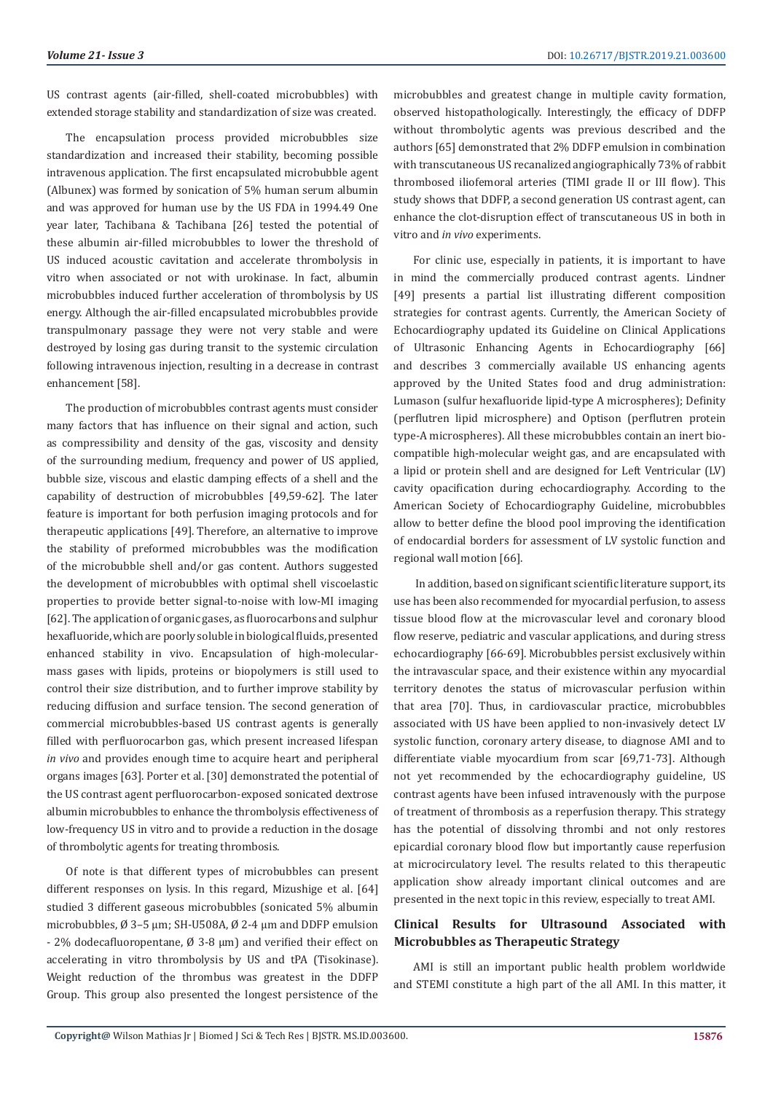US contrast agents (air-filled, shell-coated microbubbles) with extended storage stability and standardization of size was created.

The encapsulation process provided microbubbles size standardization and increased their stability, becoming possible intravenous application. The first encapsulated microbubble agent (Albunex) was formed by sonication of 5% human serum albumin and was approved for human use by the US FDA in 1994.49 One year later, Tachibana & Tachibana [26] tested the potential of these albumin air-filled microbubbles to lower the threshold of US induced acoustic cavitation and accelerate thrombolysis in vitro when associated or not with urokinase. In fact, albumin microbubbles induced further acceleration of thrombolysis by US energy. Although the air-filled encapsulated microbubbles provide transpulmonary passage they were not very stable and were destroyed by losing gas during transit to the systemic circulation following intravenous injection, resulting in a decrease in contrast enhancement [58].

The production of microbubbles contrast agents must consider many factors that has influence on their signal and action, such as compressibility and density of the gas, viscosity and density of the surrounding medium, frequency and power of US applied, bubble size, viscous and elastic damping effects of a shell and the capability of destruction of microbubbles [49,59-62]. The later feature is important for both perfusion imaging protocols and for therapeutic applications [49]. Therefore, an alternative to improve the stability of preformed microbubbles was the modification of the microbubble shell and/or gas content. Authors suggested the development of microbubbles with optimal shell viscoelastic properties to provide better signal-to-noise with low-MI imaging [62]. The application of organic gases, as fluorocarbons and sulphur hexafluoride, which are poorly soluble in biological fluids, presented enhanced stability in vivo. Encapsulation of high-molecularmass gases with lipids, proteins or biopolymers is still used to control their size distribution, and to further improve stability by reducing diffusion and surface tension. The second generation of commercial microbubbles-based US contrast agents is generally filled with perfluorocarbon gas, which present increased lifespan *in vivo* and provides enough time to acquire heart and peripheral organs images [63]. Porter et al. [30] demonstrated the potential of the US contrast agent perfluorocarbon-exposed sonicated dextrose albumin microbubbles to enhance the thrombolysis effectiveness of low-frequency US in vitro and to provide a reduction in the dosage of thrombolytic agents for treating thrombosis.

Of note is that different types of microbubbles can present different responses on lysis. In this regard, Mizushige et al. [64] studied 3 different gaseous microbubbles (sonicated 5% albumin microbubbles, Ø 3–5 µm; SH-U508A, Ø 2-4 µm and DDFP emulsion - 2% dodecafluoropentane, Ø 3-8 µm) and verified their effect on accelerating in vitro thrombolysis by US and tPA (Tisokinase). Weight reduction of the thrombus was greatest in the DDFP Group. This group also presented the longest persistence of the microbubbles and greatest change in multiple cavity formation, observed histopathologically. Interestingly, the efficacy of DDFP without thrombolytic agents was previous described and the authors [65] demonstrated that 2% DDFP emulsion in combination with transcutaneous US recanalized angiographically 73% of rabbit thrombosed iliofemoral arteries (TIMI grade II or III flow). This study shows that DDFP, a second generation US contrast agent, can enhance the clot-disruption effect of transcutaneous US in both in vitro and *in vivo* experiments.

For clinic use, especially in patients, it is important to have in mind the commercially produced contrast agents. Lindner [49] presents a partial list illustrating different composition strategies for contrast agents. Currently, the American Society of Echocardiography updated its Guideline on Clinical Applications of Ultrasonic Enhancing Agents in Echocardiography [66] and describes 3 commercially available US enhancing agents approved by the United States food and drug administration: Lumason (sulfur hexafluoride lipid-type A microspheres); Definity (perflutren lipid microsphere) and Optison (perflutren protein type-A microspheres). All these microbubbles contain an inert biocompatible high-molecular weight gas, and are encapsulated with a lipid or protein shell and are designed for Left Ventricular (LV) cavity opacification during echocardiography. According to the American Society of Echocardiography Guideline, microbubbles allow to better define the blood pool improving the identification of endocardial borders for assessment of LV systolic function and regional wall motion [66].

 In addition, based on significant scientific literature support, its use has been also recommended for myocardial perfusion, to assess tissue blood flow at the microvascular level and coronary blood flow reserve, pediatric and vascular applications, and during stress echocardiography [66-69]. Microbubbles persist exclusively within the intravascular space, and their existence within any myocardial territory denotes the status of microvascular perfusion within that area [70]. Thus, in cardiovascular practice, microbubbles associated with US have been applied to non-invasively detect LV systolic function, coronary artery disease, to diagnose AMI and to differentiate viable myocardium from scar [69,71-73]. Although not yet recommended by the echocardiography guideline, US contrast agents have been infused intravenously with the purpose of treatment of thrombosis as a reperfusion therapy. This strategy has the potential of dissolving thrombi and not only restores epicardial coronary blood flow but importantly cause reperfusion at microcirculatory level. The results related to this therapeutic application show already important clinical outcomes and are presented in the next topic in this review, especially to treat AMI.

# **Clinical Results for Ultrasound Associated with Microbubbles as Therapeutic Strategy**

AMI is still an important public health problem worldwide and STEMI constitute a high part of the all AMI. In this matter, it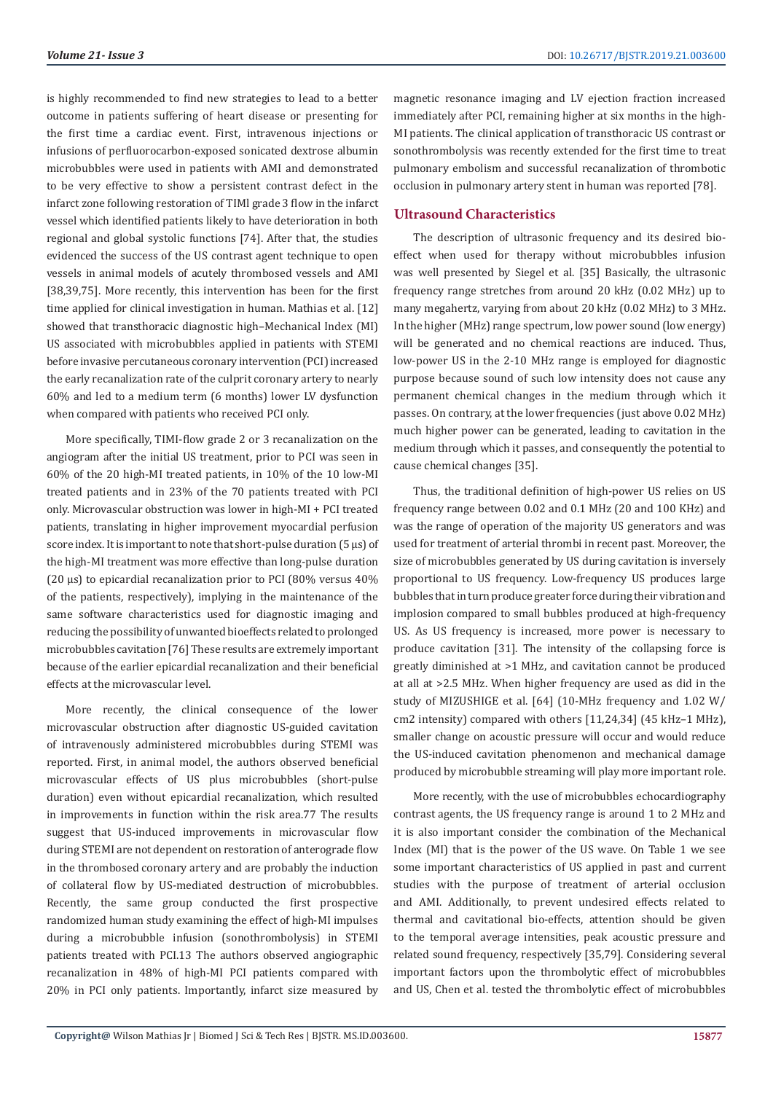is highly recommended to find new strategies to lead to a better outcome in patients suffering of heart disease or presenting for the first time a cardiac event. First, intravenous injections or infusions of perfluorocarbon-exposed sonicated dextrose albumin microbubbles were used in patients with AMI and demonstrated to be very effective to show a persistent contrast defect in the infarct zone following restoration of TIMl grade 3 flow in the infarct vessel which identified patients likely to have deterioration in both regional and global systolic functions [74]. After that, the studies evidenced the success of the US contrast agent technique to open vessels in animal models of acutely thrombosed vessels and AMI [38,39,75]. More recently, this intervention has been for the first time applied for clinical investigation in human. Mathias et al. [12] showed that transthoracic diagnostic high–Mechanical Index (MI) US associated with microbubbles applied in patients with STEMI before invasive percutaneous coronary intervention (PCI) increased the early recanalization rate of the culprit coronary artery to nearly 60% and led to a medium term (6 months) lower LV dysfunction when compared with patients who received PCI only.

More specifically, TIMI-flow grade 2 or 3 recanalization on the angiogram after the initial US treatment, prior to PCI was seen in 60% of the 20 high-MI treated patients, in 10% of the 10 low-MI treated patients and in 23% of the 70 patients treated with PCI only. Microvascular obstruction was lower in high-MI + PCI treated patients, translating in higher improvement myocardial perfusion score index. It is important to note that short-pulse duration (5 µs) of the high-MI treatment was more effective than long-pulse duration (20 µs) to epicardial recanalization prior to PCI (80% versus 40% of the patients, respectively), implying in the maintenance of the same software characteristics used for diagnostic imaging and reducing the possibility of unwanted bioeffects related to prolonged microbubbles cavitation [76] These results are extremely important because of the earlier epicardial recanalization and their beneficial effects at the microvascular level.

More recently, the clinical consequence of the lower microvascular obstruction after diagnostic US-guided cavitation of intravenously administered microbubbles during STEMI was reported. First, in animal model, the authors observed beneficial microvascular effects of US plus microbubbles (short-pulse duration) even without epicardial recanalization, which resulted in improvements in function within the risk area.77 The results suggest that US-induced improvements in microvascular flow during STEMI are not dependent on restoration of anterograde flow in the thrombosed coronary artery and are probably the induction of collateral flow by US-mediated destruction of microbubbles. Recently, the same group conducted the first prospective randomized human study examining the effect of high-MI impulses during a microbubble infusion (sonothrombolysis) in STEMI patients treated with PCI.13 The authors observed angiographic recanalization in 48% of high-MI PCI patients compared with 20% in PCI only patients. Importantly, infarct size measured by

magnetic resonance imaging and LV ejection fraction increased immediately after PCI, remaining higher at six months in the high-MI patients. The clinical application of transthoracic US contrast or sonothrombolysis was recently extended for the first time to treat pulmonary embolism and successful recanalization of thrombotic occlusion in pulmonary artery stent in human was reported [78].

### **Ultrasound Characteristics**

The description of ultrasonic frequency and its desired bioeffect when used for therapy without microbubbles infusion was well presented by Siegel et al. [35] Basically, the ultrasonic frequency range stretches from around 20 kHz (0.02 MHz) up to many megahertz, varying from about 20 kHz (0.02 MHz) to 3 MHz. In the higher (MHz) range spectrum, low power sound (low energy) will be generated and no chemical reactions are induced. Thus, low-power US in the 2-10 MHz range is employed for diagnostic purpose because sound of such low intensity does not cause any permanent chemical changes in the medium through which it passes. On contrary, at the lower frequencies (just above 0.02 MHz) much higher power can be generated, leading to cavitation in the medium through which it passes, and consequently the potential to cause chemical changes [35].

Thus, the traditional definition of high-power US relies on US frequency range between 0.02 and 0.1 MHz (20 and 100 KHz) and was the range of operation of the majority US generators and was used for treatment of arterial thrombi in recent past. Moreover, the size of microbubbles generated by US during cavitation is inversely proportional to US frequency. Low-frequency US produces large bubbles that in turn produce greater force during their vibration and implosion compared to small bubbles produced at high-frequency US. As US frequency is increased, more power is necessary to produce cavitation [31]. The intensity of the collapsing force is greatly diminished at >1 MHz, and cavitation cannot be produced at all at >2.5 MHz. When higher frequency are used as did in the study of MIZUSHIGE et al. [64] (10-MHz frequency and 1.02 W/ cm2 intensity) compared with others [11,24,34] (45 kHz–1 MHz), smaller change on acoustic pressure will occur and would reduce the US-induced cavitation phenomenon and mechanical damage produced by microbubble streaming will play more important role.

More recently, with the use of microbubbles echocardiography contrast agents, the US frequency range is around 1 to 2 MHz and it is also important consider the combination of the Mechanical Index (MI) that is the power of the US wave. On Table 1 we see some important characteristics of US applied in past and current studies with the purpose of treatment of arterial occlusion and AMI. Additionally, to prevent undesired effects related to thermal and cavitational bio-effects, attention should be given to the temporal average intensities, peak acoustic pressure and related sound frequency, respectively [35,79]. Considering several important factors upon the thrombolytic effect of microbubbles and US, Chen et al. tested the thrombolytic effect of microbubbles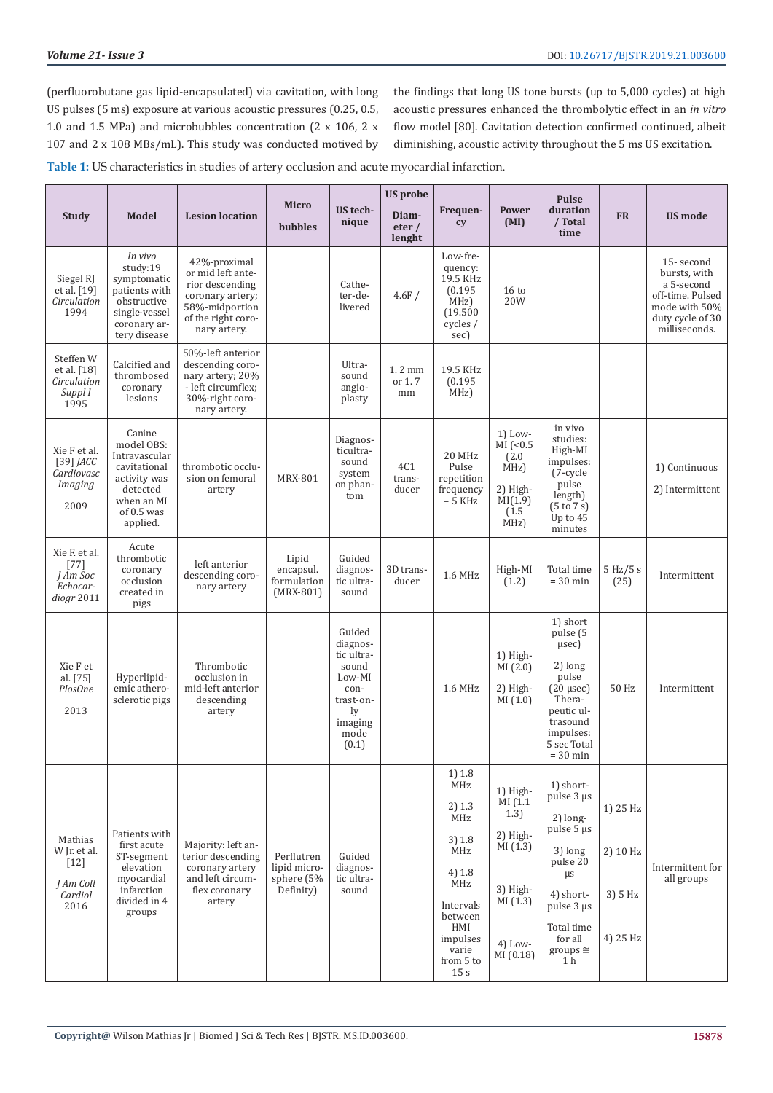(perfluorobutane gas lipid-encapsulated) via cavitation, with long US pulses (5 ms) exposure at various acoustic pressures (0.25, 0.5, 1.0 and 1.5 MPa) and microbubbles concentration (2 x 106, 2 x 107 and 2 x 108 MBs/mL). This study was conducted motived by

the findings that long US tone bursts (up to 5,000 cycles) at high acoustic pressures enhanced the thrombolytic effect in an *in vitro* flow model [80]. Cavitation detection confirmed continued, albeit diminishing, acoustic activity throughout the 5 ms US excitation.

**Table 1:** US characteristics in studies of artery occlusion and acute myocardial infarction.

| <b>Study</b>                                                      | <b>Model</b>                                                                                                                | <b>Lesion location</b>                                                                                                           | <b>Micro</b>                                          | US tech-<br>nique                                                                                          | <b>US</b> probe<br>Diam-         | Frequen-<br>cy                                                                                                                                   | Power<br>(MI)                                                                                      | <b>Pulse</b><br>duration<br>/ Total                                                                                                                                           | <b>FR</b>                                   | <b>US mode</b>                                                                                                    |
|-------------------------------------------------------------------|-----------------------------------------------------------------------------------------------------------------------------|----------------------------------------------------------------------------------------------------------------------------------|-------------------------------------------------------|------------------------------------------------------------------------------------------------------------|----------------------------------|--------------------------------------------------------------------------------------------------------------------------------------------------|----------------------------------------------------------------------------------------------------|-------------------------------------------------------------------------------------------------------------------------------------------------------------------------------|---------------------------------------------|-------------------------------------------------------------------------------------------------------------------|
|                                                                   |                                                                                                                             |                                                                                                                                  | <b>bubbles</b>                                        |                                                                                                            | eter/<br>lenght                  |                                                                                                                                                  |                                                                                                    | time                                                                                                                                                                          |                                             |                                                                                                                   |
| Siegel RJ<br>et al. [19]<br>Circulation<br>1994                   | In vivo<br>study:19<br>symptomatic<br>patients with<br>obstructive<br>single-vessel<br>coronary ar-<br>tery disease         | 42%-proximal<br>or mid left ante-<br>rior descending<br>coronary artery;<br>58%-midportion<br>of the right coro-<br>nary artery. |                                                       | Cathe-<br>ter-de-<br>livered                                                                               | 4.6F/                            | Low-fre-<br>quency:<br>19.5 KHz<br>(0.195)<br>MHz)<br>(19.500)<br>cycles /<br>sec)                                                               | 16 <sub>to</sub><br>20W                                                                            |                                                                                                                                                                               |                                             | 15-second<br>bursts, with<br>a 5-second<br>off-time. Pulsed<br>mode with 50%<br>duty cycle of 30<br>milliseconds. |
| Steffen W<br>et al. [18]<br>Circulation<br>Suppl I<br>1995        | Calcified and<br>thrombosed<br>coronary<br>lesions                                                                          | 50%-left anterior<br>descending coro-<br>nary artery; 20%<br>- left circumflex;<br>30%-right coro-<br>nary artery.               |                                                       | Ultra-<br>sound<br>angio-<br>plasty                                                                        | $1.2 \text{ mm}$<br>or 1.7<br>mm | 19.5 KHz<br>(0.195)<br>MHz)                                                                                                                      |                                                                                                    |                                                                                                                                                                               |                                             |                                                                                                                   |
| Xie F et al.<br>$[39]$ JACC<br>Cardiovasc<br>Imaging<br>2009      | Canine<br>model OBS:<br>Intravascular<br>cavitational<br>activity was<br>detected<br>when an MI<br>of $0.5$ was<br>applied. | thrombotic occlu-<br>sion on femoral<br>artery                                                                                   | MRX-801                                               | Diagnos-<br>ticultra-<br>sound<br>system<br>on phan-<br>tom                                                | 4C1<br>trans-<br>ducer           | 20 MHz<br>Pulse<br>repetition<br>frequency<br>$-5$ KHz                                                                                           | $1)$ Low-<br>$\overline{MI}$ (<0.5)<br>(2.0)<br>MHz)<br>2) High-<br>MI(1.9)<br>(1.5)<br>MHz)       | in vivo<br>studies:<br>High-MI<br>impulses:<br>(7-cycle<br>pulse<br>length)<br>$(5 \text{ to } 7 \text{ s})$<br>Up to 45<br>minutes                                           |                                             | 1) Continuous<br>2) Intermittent                                                                                  |
| Xie F. et al.<br>$[77]$<br>I Am Soc<br>Echocar-<br>diogr 2011     | Acute<br>thrombotic<br>coronary<br>occlusion<br>created in<br>pigs                                                          | left anterior<br>descending coro-<br>nary artery                                                                                 | Lipid<br>encapsul.<br>formulation<br>$(MRX-801)$      | Guided<br>diagnos-<br>tic ultra-<br>sound                                                                  | 3D trans-<br>ducer               | 1.6 MHz                                                                                                                                          | High-MI<br>(1.2)                                                                                   | Total time<br>$= 30$ min                                                                                                                                                      | 5 Hz/5 s<br>(25)                            | Intermittent                                                                                                      |
| Xie F et<br>al. [75]<br>PlosOne<br>2013                           | Hyperlipid-<br>emic athero-<br>sclerotic pigs                                                                               | Thrombotic<br>occlusion in<br>mid-left anterior<br>descending<br>artery                                                          |                                                       | Guided<br>diagnos-<br>tic ultra-<br>sound<br>Low-MI<br>con-<br>trast-on-<br>ly<br>imaging<br>mode<br>(0.1) |                                  | 1.6 MHz                                                                                                                                          | $1)$ High-<br>MI(2.0)<br>2) High-<br>MI(1.0)                                                       | 1) short<br>pulse (5<br>$\mu$ sec $)$<br>2) long<br>pulse<br>$(20 \mu sec)$<br>Thera-<br>peutic ul-<br>trasound<br>impulses:<br>5 sec Total<br>$= 30$ min                     | 50 Hz                                       | Intermittent                                                                                                      |
| Mathias<br>W Jr. et al.<br>$[12]$<br>J Am Coll<br>Cardiol<br>2016 | Patients with<br>first acute<br>ST-segment<br>elevation<br>myocardial<br>infarction<br>divided in 4<br>groups               | Majority: left an-<br>terior descending<br>coronary artery<br>and left circum-<br>flex coronary<br>artery                        | Perflutren<br>lipid micro-<br>sphere (5%<br>Definity) | Guided<br>diagnos-<br>tic ultra-<br>sound                                                                  |                                  | 1) 1.8<br>MHz<br>2) 1.3<br>MHz<br>3) 1.8<br><b>MHz</b><br>4) 1.8<br>MHz<br>Intervals<br>between<br>HMI<br>impulses<br>varie<br>from 5 to<br>15 s | 1) High-<br>MI(1.1)<br>1.3)<br>2) High-<br>MI(1.3)<br>3) High-<br>MI(1.3)<br>$4)$ Low-<br>MI(0.18) | 1) short-<br>pulse 3 µs<br>$2)$ long-<br>pulse 5 µs<br>3) long<br>pulse 20<br>$\mu s$<br>4) short-<br>pulse 3 µs<br>Total time<br>for all<br>$groups \cong$<br>1 <sub>h</sub> | 1) 25 Hz<br>2) 10 Hz<br>3) 5 Hz<br>4) 25 Hz | Intermittent for<br>all groups                                                                                    |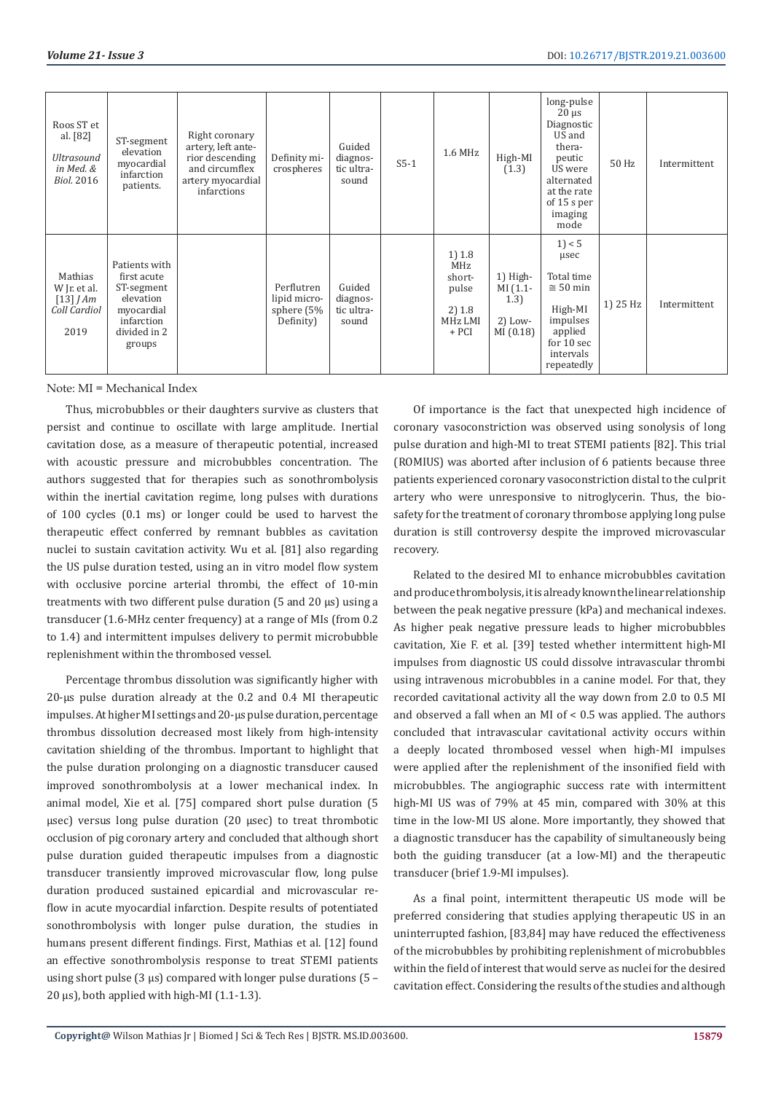| Roos ST et<br>al. [82]<br><b>Ultrasound</b><br>in Med. &<br><b>Biol. 2016</b> | ST-segment<br>elevation<br>myocardial<br>infarction<br>patients.                                              | Right coronary<br>artery, left ante-<br>rior descending<br>and circumflex<br>artery myocardial<br>infarctions | Definity mi-<br>crospheres                              | Guided<br>diagnos-<br>tic ultra-<br>sound | $S5-1$ | $1.6$ MHz                                                        | High-MI<br>(1.3)                                        | long-pulse<br>$20 \mu s$<br>Diagnostic<br>US and<br>thera-<br>peutic<br>US were<br>alternated<br>at the rate<br>of 15 s per<br>imaging<br>mode | 50 Hz    | Intermittent |
|-------------------------------------------------------------------------------|---------------------------------------------------------------------------------------------------------------|---------------------------------------------------------------------------------------------------------------|---------------------------------------------------------|-------------------------------------------|--------|------------------------------------------------------------------|---------------------------------------------------------|------------------------------------------------------------------------------------------------------------------------------------------------|----------|--------------|
| Mathias<br>W Jr. et al.<br>$\lceil 13 \rceil$ J Am<br>Coll Cardiol<br>2019    | Patients with<br>first acute<br>ST-segment<br>elevation<br>myocardial<br>infarction<br>divided in 2<br>groups |                                                                                                               | Perflutren<br>lipid micro-<br>sphere $(5%$<br>Definity) | Guided<br>diagnos-<br>tic ultra-<br>sound |        | 1) 1.8<br>MHz<br>short-<br>pulse<br>2) 1.8<br>MHz LMI<br>$+$ PCI | 1) High-<br>$MI(1.1 -$<br>1.3)<br>$2)$ Low-<br>MI(0.18) | $1$ ) < 5<br>usec<br>Total time<br>$\approx$ 50 min<br>High-MI<br>impulses<br>applied<br>for 10 sec<br>intervals<br>repeatedly                 | 1) 25 Hz | Intermittent |

Note: MI = Mechanical Index

Thus, microbubbles or their daughters survive as clusters that persist and continue to oscillate with large amplitude. Inertial cavitation dose, as a measure of therapeutic potential, increased with acoustic pressure and microbubbles concentration. The authors suggested that for therapies such as sonothrombolysis within the inertial cavitation regime, long pulses with durations of 100 cycles (0.1 ms) or longer could be used to harvest the therapeutic effect conferred by remnant bubbles as cavitation nuclei to sustain cavitation activity. Wu et al. [81] also regarding the US pulse duration tested, using an in vitro model flow system with occlusive porcine arterial thrombi, the effect of 10-min treatments with two different pulse duration (5 and 20 μs) using a transducer (1.6-MHz center frequency) at a range of MIs (from 0.2 to 1.4) and intermittent impulses delivery to permit microbubble replenishment within the thrombosed vessel.

Percentage thrombus dissolution was significantly higher with 20-μs pulse duration already at the 0.2 and 0.4 MI therapeutic impulses. At higher MI settings and 20-μs pulse duration, percentage thrombus dissolution decreased most likely from high-intensity cavitation shielding of the thrombus. Important to highlight that the pulse duration prolonging on a diagnostic transducer caused improved sonothrombolysis at a lower mechanical index. In animal model, Xie et al. [75] compared short pulse duration (5 µsec) versus long pulse duration (20 µsec) to treat thrombotic occlusion of pig coronary artery and concluded that although short pulse duration guided therapeutic impulses from a diagnostic transducer transiently improved microvascular flow, long pulse duration produced sustained epicardial and microvascular reflow in acute myocardial infarction. Despite results of potentiated sonothrombolysis with longer pulse duration, the studies in humans present different findings. First, Mathias et al. [12] found an effective sonothrombolysis response to treat STEMI patients using short pulse  $(3 \mu s)$  compared with longer pulse durations  $(5 -$ 20 µs), both applied with high-MI (1.1-1.3).

Of importance is the fact that unexpected high incidence of coronary vasoconstriction was observed using sonolysis of long pulse duration and high-MI to treat STEMI patients [82]. This trial (ROMIUS) was aborted after inclusion of 6 patients because three patients experienced coronary vasoconstriction distal to the culprit artery who were unresponsive to nitroglycerin. Thus, the biosafety for the treatment of coronary thrombose applying long pulse duration is still controversy despite the improved microvascular recovery.

Related to the desired MI to enhance microbubbles cavitation and produce thrombolysis, it is already known the linear relationship between the peak negative pressure (kPa) and mechanical indexes. As higher peak negative pressure leads to higher microbubbles cavitation, Xie F. et al. [39] tested whether intermittent high-MI impulses from diagnostic US could dissolve intravascular thrombi using intravenous microbubbles in a canine model. For that, they recorded cavitational activity all the way down from 2.0 to 0.5 MI and observed a fall when an MI of < 0.5 was applied. The authors concluded that intravascular cavitational activity occurs within a deeply located thrombosed vessel when high-MI impulses were applied after the replenishment of the insonified field with microbubbles. The angiographic success rate with intermittent high-MI US was of 79% at 45 min, compared with 30% at this time in the low-MI US alone. More importantly, they showed that a diagnostic transducer has the capability of simultaneously being both the guiding transducer (at a low-MI) and the therapeutic transducer (brief 1.9-MI impulses).

As a final point, intermittent therapeutic US mode will be preferred considering that studies applying therapeutic US in an uninterrupted fashion, [83,84] may have reduced the effectiveness of the microbubbles by prohibiting replenishment of microbubbles within the field of interest that would serve as nuclei for the desired cavitation effect. Considering the results of the studies and although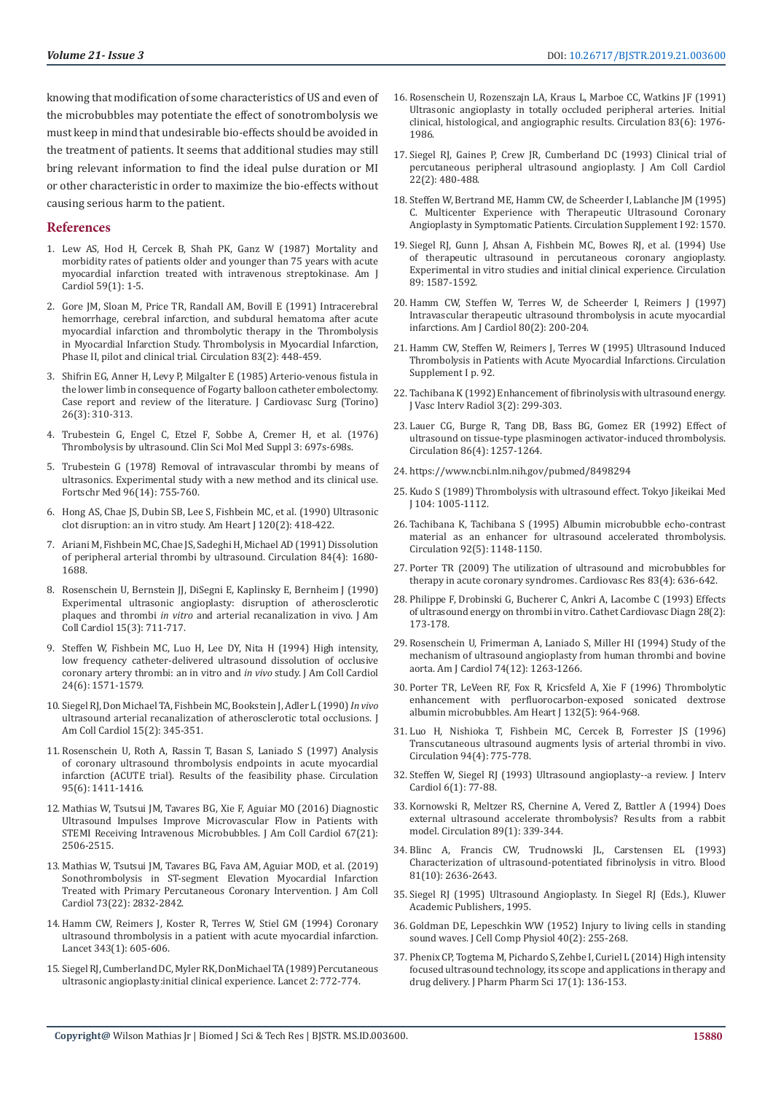knowing that modification of some characteristics of US and even of the microbubbles may potentiate the effect of sonotrombolysis we must keep in mind that undesirable bio-effects should be avoided in the treatment of patients. It seems that additional studies may still bring relevant information to find the ideal pulse duration or MI or other characteristic in order to maximize the bio-effects without causing serious harm to the patient.

#### **References**

- 1. [Lew AS, Hod H, Cercek B, Shah PK, Ganz W \(1987\) Mortality and](https://www.ncbi.nlm.nih.gov/pubmed/3812217)  [morbidity rates of patients older and younger than 75 years with acute](https://www.ncbi.nlm.nih.gov/pubmed/3812217)  [myocardial infarction treated with intravenous streptokinase. Am J](https://www.ncbi.nlm.nih.gov/pubmed/3812217)  [Cardiol 59\(1\): 1-5.](https://www.ncbi.nlm.nih.gov/pubmed/3812217)
- 2. [Gore JM, Sloan M, Price TR, Randall AM, Bovill E \(1991\) Intracerebral](https://www.ncbi.nlm.nih.gov/pubmed/1899364)  [hemorrhage, cerebral infarction, and subdural hematoma after acute](https://www.ncbi.nlm.nih.gov/pubmed/1899364)  [myocardial infarction and thrombolytic therapy in the Thrombolysis](https://www.ncbi.nlm.nih.gov/pubmed/1899364)  [in Myocardial Infarction Study. Thrombolysis in Myocardial Infarction,](https://www.ncbi.nlm.nih.gov/pubmed/1899364)  [Phase II, pilot and clinical trial. Circulation 83\(2\): 448-459.](https://www.ncbi.nlm.nih.gov/pubmed/1899364)
- 3. [Shifrin EG, Anner H, Levy P, Milgalter E \(1985\) Arterio-venous fistula in](https://www.ncbi.nlm.nih.gov/pubmed/3997976)  [the lower limb in consequence of Fogarty balloon catheter embolectomy.](https://www.ncbi.nlm.nih.gov/pubmed/3997976)  [Case report and review of the literature. J Cardiovasc Surg \(Torino\)](https://www.ncbi.nlm.nih.gov/pubmed/3997976)  [26\(3\): 310-313.](https://www.ncbi.nlm.nih.gov/pubmed/3997976)
- 4. [Trubestein G, Engel C, Etzel F, Sobbe A, Cremer H, et al. \(1976\)](https://www.ncbi.nlm.nih.gov/pubmed/1071713)  [Thrombolysis by ultrasound. Clin Sci Mol Med Suppl 3: 697s-698s.](https://www.ncbi.nlm.nih.gov/pubmed/1071713)
- 5. [Trubestein G \(1978\) Removal of intravascular thrombi by means of](https://www.ncbi.nlm.nih.gov/pubmed/640559)  [ultrasonics. Experimental study with a new method and its clinical use.](https://www.ncbi.nlm.nih.gov/pubmed/640559)  [Fortschr Med 96\(14\): 755-760.](https://www.ncbi.nlm.nih.gov/pubmed/640559)
- 6. [Hong AS, Chae JS, Dubin SB, Lee S, Fishbein MC, et al. \(1990\) Ultrasonic](https://www.ncbi.nlm.nih.gov/pubmed/2382618)  [clot disruption: an in vitro study. Am Heart J 120\(2\): 418-422.](https://www.ncbi.nlm.nih.gov/pubmed/2382618)
- 7. [Ariani M, Fishbein MC, Chae JS, Sadeghi H, Michael AD \(1991\) Dissolution](https://www.ncbi.nlm.nih.gov/pubmed/1914107)  [of peripheral arterial thrombi by ultrasound. Circulation 84\(4\): 1680-](https://www.ncbi.nlm.nih.gov/pubmed/1914107) [1688.](https://www.ncbi.nlm.nih.gov/pubmed/1914107)
- 8. [Rosenschein U, Bernstein JJ, DiSegni E, Kaplinsky E, Bernheim J \(1990\)](https://www.ncbi.nlm.nih.gov/pubmed/2137480)  [Experimental ultrasonic angioplasty: disruption of atherosclerotic](https://www.ncbi.nlm.nih.gov/pubmed/2137480)  plaques and thrombi *in vitro* [and arterial recanalization in vivo. J Am](https://www.ncbi.nlm.nih.gov/pubmed/2137480)  [Coll Cardiol 15\(3\): 711-717.](https://www.ncbi.nlm.nih.gov/pubmed/2137480)
- 9. [Steffen W, Fishbein MC, Luo H, Lee DY, Nita H \(1994\) High intensity,](https://www.ncbi.nlm.nih.gov/pubmed/7930293)  [low frequency catheter-delivered ultrasound dissolution of occlusive](https://www.ncbi.nlm.nih.gov/pubmed/7930293)  [coronary artery thrombi: an in vitro and](https://www.ncbi.nlm.nih.gov/pubmed/7930293) *in vivo* study. J Am Coll Cardiol [24\(6\): 1571-1579.](https://www.ncbi.nlm.nih.gov/pubmed/7930293)
- 10. [Siegel RJ, Don Michael TA, Fishbein MC, Bookstein J, Adler L \(1990\)](https://www.ncbi.nlm.nih.gov/pubmed/2299075) *In vivo* [ultrasound arterial recanalization of atherosclerotic total occlusions. J](https://www.ncbi.nlm.nih.gov/pubmed/2299075)  [Am Coll Cardiol 15\(2\): 345-351.](https://www.ncbi.nlm.nih.gov/pubmed/2299075)
- 11. [Rosenschein U, Roth A, Rassin T, Basan S, Laniado S \(1997\) Analysis](https://www.ncbi.nlm.nih.gov/pubmed/9118507)  [of coronary ultrasound thrombolysis endpoints in acute myocardial](https://www.ncbi.nlm.nih.gov/pubmed/9118507)  [infarction \(ACUTE trial\). Results of the feasibility phase. Circulation](https://www.ncbi.nlm.nih.gov/pubmed/9118507)  [95\(6\): 1411-1416.](https://www.ncbi.nlm.nih.gov/pubmed/9118507)
- 12. [Mathias W, Tsutsui JM, Tavares BG, Xie F, Aguiar MO \(2016\) Diagnostic](https://www.ncbi.nlm.nih.gov/pubmed/27230046)  [Ultrasound Impulses Improve Microvascular Flow in Patients with](https://www.ncbi.nlm.nih.gov/pubmed/27230046)  STEMI Receiving Intravenous Microbubbles. J Am Coll Cardiol 67(21): [2506-2515.](https://www.ncbi.nlm.nih.gov/pubmed/27230046)
- 13. [Mathias W, Tsutsui JM, Tavares BG, Fava AM, Aguiar MOD, et al. \(2019\)](https://www.ncbi.nlm.nih.gov/pubmed/30894317)  [Sonothrombolysis in ST-segment Elevation Myocardial Infarction](https://www.ncbi.nlm.nih.gov/pubmed/30894317)  [Treated with Primary Percutaneous Coronary Intervention. J Am Coll](https://www.ncbi.nlm.nih.gov/pubmed/30894317)  [Cardiol 73\(22\): 2832-2842.](https://www.ncbi.nlm.nih.gov/pubmed/30894317)
- 14. [Hamm CW, Reimers J, Koster R, Terres W, Stiel GM \(1994\) Coronary](https://www.ncbi.nlm.nih.gov/pubmed/11177715)  [ultrasound thrombolysis in a patient with acute myocardial infarction.](https://www.ncbi.nlm.nih.gov/pubmed/11177715)  [Lancet 343\(1\): 605-606.](https://www.ncbi.nlm.nih.gov/pubmed/11177715)
- 15. [Siegel RJ, Cumberland DC, Myler RK, DonMichael TA \(1989\) Percutaneous](https://www.ncbi.nlm.nih.gov/pubmed/2571012)  [ultrasonic angioplasty:initial clinical experience. Lancet 2: 772-774.](https://www.ncbi.nlm.nih.gov/pubmed/2571012)
- 16. [Rosenschein U, Rozenszajn LA, Kraus L, Marboe CC, Watkins JF \(1991\)](https://www.ncbi.nlm.nih.gov/pubmed/2040050) [Ultrasonic angioplasty in totally occluded peripheral arteries. Initial](https://www.ncbi.nlm.nih.gov/pubmed/2040050) [clinical, histological, and angiographic results. Circulation 83\(6\): 1976-](https://www.ncbi.nlm.nih.gov/pubmed/2040050) [1986.](https://www.ncbi.nlm.nih.gov/pubmed/2040050)
- 17. [Siegel RJ, Gaines P, Crew JR, Cumberland DC \(1993\) Clinical trial of](https://www.ncbi.nlm.nih.gov/pubmed/8335818) [percutaneous peripheral ultrasound angioplasty. J Am Coll Cardiol](https://www.ncbi.nlm.nih.gov/pubmed/8335818) [22\(2\): 480-488.](https://www.ncbi.nlm.nih.gov/pubmed/8335818)
- 18. Steffen W, Bertrand ME, Hamm CW, de Scheerder I, Lablanche JM (1995) C. Multicenter Experience with Therapeutic Ultrasound Coronary Angioplasty in Symptomatic Patients. Circulation Supplement I 92: 1570.
- 19. [Siegel RJ, Gunn J, Ahsan A, Fishbein MC, Bowes RJ, et al. \(1994\) Use](https://www.ahajournals.org/doi/abs/10.1161/01.cir.89.4.1587) [of therapeutic ultrasound in percutaneous coronary angioplasty.](https://www.ahajournals.org/doi/abs/10.1161/01.cir.89.4.1587) [Experimental in vitro studies and initial clinical experience. Circulation](https://www.ahajournals.org/doi/abs/10.1161/01.cir.89.4.1587) [89: 1587-1592.](https://www.ahajournals.org/doi/abs/10.1161/01.cir.89.4.1587)
- 20. [Hamm CW, Steffen W, Terres W, de Scheerder I, Reimers J \(1997\)](https://www.ncbi.nlm.nih.gov/pubmed/9230160) [Intravascular therapeutic ultrasound thrombolysis in acute myocardial](https://www.ncbi.nlm.nih.gov/pubmed/9230160) [infarctions. Am J Cardiol 80\(2\): 200-204.](https://www.ncbi.nlm.nih.gov/pubmed/9230160)
- 21. Hamm CW, Steffen W, Reimers J, Terres W (1995) Ultrasound Induced Thrombolysis in Patients with Acute Myocardial Infarctions. Circulation Supplement I p. 92.
- 22. [Tachibana K \(1992\) Enhancement of fibrinolysis with ultrasound energy.](https://www.ncbi.nlm.nih.gov/pubmed/1627877) [J Vasc Interv Radiol 3\(2\): 299-303.](https://www.ncbi.nlm.nih.gov/pubmed/1627877)
- 23. [Lauer CG, Burge R, Tang DB, Bass BG, Gomez ER \(1992\) Effect of](https://www.ncbi.nlm.nih.gov/pubmed/1394932) [ultrasound on tissue-type plasminogen activator-induced thrombolysis.](https://www.ncbi.nlm.nih.gov/pubmed/1394932) [Circulation 86\(4\): 1257-1264.](https://www.ncbi.nlm.nih.gov/pubmed/1394932)
- 24. <https://www.ncbi.nlm.nih.gov/pubmed/8498294>
- 25. Kudo S (1989) Thrombolysis with ultrasound effect. Tokyo Jikeikai Med J 104: 1005-1112.
- 26. [Tachibana K, Tachibana S \(1995\) Albumin microbubble echo-contrast](https://www.ncbi.nlm.nih.gov/pubmed/7648659) [material as an enhancer for ultrasound accelerated thrombolysis.](https://www.ncbi.nlm.nih.gov/pubmed/7648659) [Circulation 92\(5\): 1148-1150.](https://www.ncbi.nlm.nih.gov/pubmed/7648659)
- 27. [Porter TR \(2009\) The utilization of ultrasound and microbubbles for](https://www.ncbi.nlm.nih.gov/pubmed/19541670) [therapy in acute coronary syndromes. Cardiovasc Res 83\(4\): 636-642.](https://www.ncbi.nlm.nih.gov/pubmed/19541670)
- 28. [Philippe F, Drobinski G, Bucherer C, Ankri A, Lacombe C \(1993\) Effects](https://www.ncbi.nlm.nih.gov/pubmed/8448804) [of ultrasound energy on thrombi in vitro. Cathet Cardiovasc Diagn 28\(2\):](https://www.ncbi.nlm.nih.gov/pubmed/8448804) [173-178.](https://www.ncbi.nlm.nih.gov/pubmed/8448804)
- 29. [Rosenschein U, Frimerman A, Laniado S, Miller HI \(1994\) Study of the](https://www.ncbi.nlm.nih.gov/pubmed/7977102) [mechanism of ultrasound angioplasty from human thrombi and bovine](https://www.ncbi.nlm.nih.gov/pubmed/7977102) [aorta. Am J Cardiol 74\(12\): 1263-1266.](https://www.ncbi.nlm.nih.gov/pubmed/7977102)
- 30. [Porter TR, LeVeen RF, Fox R, Kricsfeld A, Xie F \(1996\) Thrombolytic](https://www.ncbi.nlm.nih.gov/pubmed/8892768) [enhancement with perfluorocarbon-exposed sonicated dextrose](https://www.ncbi.nlm.nih.gov/pubmed/8892768) [albumin microbubbles. Am Heart J 132\(5\): 964-968.](https://www.ncbi.nlm.nih.gov/pubmed/8892768)
- 31. [Luo H, Nishioka T, Fishbein MC, Cercek B, Forrester JS \(1996\)](https://www.ncbi.nlm.nih.gov/pubmed/8772701) [Transcutaneous ultrasound augments lysis of arterial thrombi in vivo.](https://www.ncbi.nlm.nih.gov/pubmed/8772701) [Circulation 94\(4\): 775-778.](https://www.ncbi.nlm.nih.gov/pubmed/8772701)
- 32. [Steffen W, Siegel RJ \(1993\) Ultrasound angioplasty--a review. J Interv](https://www.ncbi.nlm.nih.gov/pubmed/10150989) [Cardiol 6\(1\): 77-88.](https://www.ncbi.nlm.nih.gov/pubmed/10150989)
- 33. [Kornowski R, Meltzer RS, Chernine A, Vered Z, Battler A \(1994\) Does](https://www.ncbi.nlm.nih.gov/pubmed/8281667) [external ultrasound accelerate thrombolysis? Results from a rabbit](https://www.ncbi.nlm.nih.gov/pubmed/8281667) [model. Circulation 89\(1\): 339-344.](https://www.ncbi.nlm.nih.gov/pubmed/8281667)
- 34. [Blinc A, Francis CW, Trudnowski JL, Carstensen EL \(1993\)](https://www.ncbi.nlm.nih.gov/pubmed/8490172) [Characterization of ultrasound-potentiated fibrinolysis in vitro. Blood](https://www.ncbi.nlm.nih.gov/pubmed/8490172) [81\(10\): 2636-2643.](https://www.ncbi.nlm.nih.gov/pubmed/8490172)
- 35. [Siegel RJ \(1995\) Ultrasound Angioplasty. In Siegel RJ \(Eds.\), Kluwer](https://www.springer.com/gp/book/9780792337225) [Academic Publishers, 1995.](https://www.springer.com/gp/book/9780792337225)
- 36. [Goldman DE, Lepeschkin WW \(1952\) Injury to living cells in standing](https://www.ncbi.nlm.nih.gov/pubmed/12999967) [sound waves. J Cell Comp Physiol 40\(2\): 255-268.](https://www.ncbi.nlm.nih.gov/pubmed/12999967)
- 37. [Phenix CP, Togtema M, Pichardo S, Zehbe I, Curiel L \(2014\) High intensity](https://www.ncbi.nlm.nih.gov/pubmed/24735765) [focused ultrasound technology, its scope and applications in therapy and](https://www.ncbi.nlm.nih.gov/pubmed/24735765) [drug delivery. J Pharm Pharm Sci 17\(1\): 136-153.](https://www.ncbi.nlm.nih.gov/pubmed/24735765)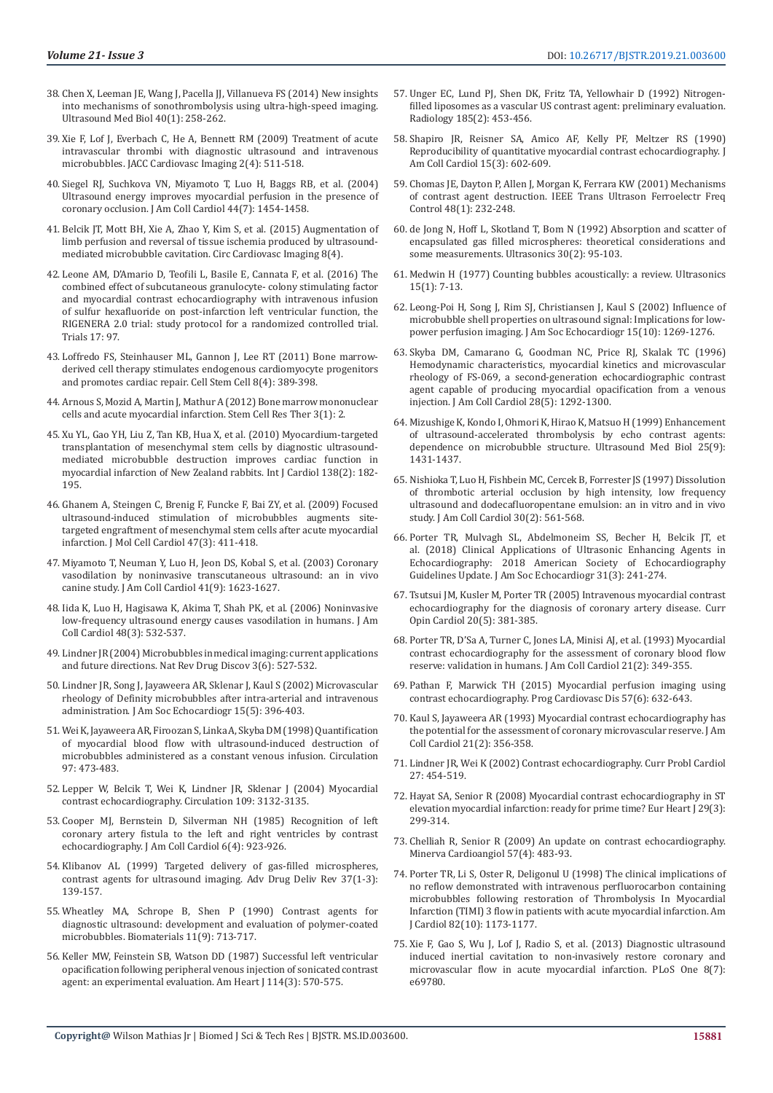- 38. [Chen X, Leeman JE, Wang J, Pacella JJ, Villanueva FS \(2014\) New insights](https://www.ncbi.nlm.nih.gov/pubmed/24139920)  [into mechanisms of sonothrombolysis using ultra-high-speed imaging.](https://www.ncbi.nlm.nih.gov/pubmed/24139920)  [Ultrasound Med Biol 40\(1\): 258-262.](https://www.ncbi.nlm.nih.gov/pubmed/24139920)
- 39. [Xie F, Lof J, Everbach C, He A, Bennett RM \(2009\) Treatment of acute](https://www.ncbi.nlm.nih.gov/pubmed/19580735)  [intravascular thrombi with diagnostic ultrasound and intravenous](https://www.ncbi.nlm.nih.gov/pubmed/19580735)  [microbubbles. JACC Cardiovasc Imaging 2\(4\): 511-518.](https://www.ncbi.nlm.nih.gov/pubmed/19580735)
- 40. [Siegel RJ, Suchkova VN, Miyamoto T, Luo H, Baggs RB, et al. \(2004\)](https://www.ncbi.nlm.nih.gov/pubmed/15464327)  [Ultrasound energy improves myocardial perfusion in the presence of](https://www.ncbi.nlm.nih.gov/pubmed/15464327)  [coronary occlusion. J Am Coll Cardiol 44\(7\): 1454-1458.](https://www.ncbi.nlm.nih.gov/pubmed/15464327)
- 41. [Belcik JT, Mott BH, Xie A, Zhao Y, Kim S, et al. \(2015\) Augmentation of](https://www.ncbi.nlm.nih.gov/pubmed/25834183)  [limb perfusion and reversal of tissue ischemia produced by ultrasound](https://www.ncbi.nlm.nih.gov/pubmed/25834183)[mediated microbubble cavitation. Circ Cardiovasc Imaging 8\(4\).](https://www.ncbi.nlm.nih.gov/pubmed/25834183)
- 42. [Leone AM, D'Amario D, Teofili L, Basile E, Cannata F, et al. \(2016\) The](https://www.ncbi.nlm.nih.gov/pubmed/26891753)  [combined effect of subcutaneous granulocyte- colony stimulating factor](https://www.ncbi.nlm.nih.gov/pubmed/26891753)  [and myocardial contrast echocardiography with intravenous infusion](https://www.ncbi.nlm.nih.gov/pubmed/26891753)  [of sulfur hexafluoride on post-infarction left ventricular function, the](https://www.ncbi.nlm.nih.gov/pubmed/26891753)  [RIGENERA 2.0 trial: study protocol for a randomized controlled trial.](https://www.ncbi.nlm.nih.gov/pubmed/26891753)  [Trials 17: 97.](https://www.ncbi.nlm.nih.gov/pubmed/26891753)
- 43. [Loffredo FS, Steinhauser ML, Gannon J, Lee RT \(2011\) Bone marrow](https://www.ncbi.nlm.nih.gov/pubmed/21474103)[derived cell therapy stimulates endogenous cardiomyocyte progenitors](https://www.ncbi.nlm.nih.gov/pubmed/21474103)  [and promotes cardiac repair. Cell Stem Cell 8\(4\): 389-398.](https://www.ncbi.nlm.nih.gov/pubmed/21474103)
- 44. [Arnous S, Mozid A, Martin J, Mathur A \(2012\) Bone marrow mononuclear](https://www.ncbi.nlm.nih.gov/pmc/articles/PMC3340546/)  [cells and acute myocardial infarction. Stem Cell Res Ther 3\(1\): 2.](https://www.ncbi.nlm.nih.gov/pmc/articles/PMC3340546/)
- 45. [Xu YL, Gao YH, Liu Z, Tan KB, Hua X, et al. \(2010\) Myocardium-targeted](https://www.ncbi.nlm.nih.gov/pubmed/19383567)  [transplantation of mesenchymal stem cells by diagnostic ultrasound](https://www.ncbi.nlm.nih.gov/pubmed/19383567)[mediated microbubble destruction improves cardiac function in](https://www.ncbi.nlm.nih.gov/pubmed/19383567)  [myocardial infarction of New Zealand rabbits. Int J Cardiol 138\(2\): 182-](https://www.ncbi.nlm.nih.gov/pubmed/19383567) [195.](https://www.ncbi.nlm.nih.gov/pubmed/19383567)
- 46. [Ghanem A, Steingen C, Brenig F, Funcke F, Bai ZY, et al. \(2009\) Focused](https://www.ncbi.nlm.nih.gov/pubmed/19540842)  [ultrasound-induced stimulation of microbubbles augments site](https://www.ncbi.nlm.nih.gov/pubmed/19540842)[targeted engraftment of mesenchymal stem cells after acute myocardial](https://www.ncbi.nlm.nih.gov/pubmed/19540842)  [infarction. J Mol Cell Cardiol 47\(3\): 411-418.](https://www.ncbi.nlm.nih.gov/pubmed/19540842)
- 47. [Miyamoto T, Neuman Y, Luo H, Jeon DS, Kobal S, et al. \(2003\) Coronary](https://www.ncbi.nlm.nih.gov/pubmed/12742306)  [vasodilation by noninvasive transcutaneous ultrasound: an in vivo](https://www.ncbi.nlm.nih.gov/pubmed/12742306)  [canine study. J Am Coll Cardiol 41\(9\): 1623-1627.](https://www.ncbi.nlm.nih.gov/pubmed/12742306)
- 48. [Iida K, Luo H, Hagisawa K, Akima T, Shah PK, et al. \(2006\) Noninvasive](https://www.ncbi.nlm.nih.gov/pubmed/16875980)  [low-frequency ultrasound energy causes vasodilation in humans. J Am](https://www.ncbi.nlm.nih.gov/pubmed/16875980)  [Coll Cardiol 48\(3\): 532-537.](https://www.ncbi.nlm.nih.gov/pubmed/16875980)
- 49. [Lindner JR \(2004\) Microbubbles in medical imaging: current applications](https://www.ncbi.nlm.nih.gov/pubmed/15173842)  [and future directions. Nat Rev Drug Discov 3\(6\): 527-532.](https://www.ncbi.nlm.nih.gov/pubmed/15173842)
- 50. [Lindner JR, Song J, Jayaweera AR, Sklenar J, Kaul S \(2002\) Microvascular](https://www.ncbi.nlm.nih.gov/pubmed/12019422)  [rheology of Definity microbubbles after intra-arterial and intravenous](https://www.ncbi.nlm.nih.gov/pubmed/12019422)  [administration. J Am Soc Echocardiogr 15\(5\): 396-403.](https://www.ncbi.nlm.nih.gov/pubmed/12019422)
- 51. [Wei K, Jayaweera AR, Firoozan S, Linka A, Skyba DM \(1998\) Quantification](https://www.ahajournals.org/doi/full/10.1161/01.CIR.97.5.473)  [of myocardial blood flow with ultrasound-induced destruction of](https://www.ahajournals.org/doi/full/10.1161/01.CIR.97.5.473)  [microbubbles administered as a constant venous infusion. Circulation](https://www.ahajournals.org/doi/full/10.1161/01.CIR.97.5.473)  [97: 473-483.](https://www.ahajournals.org/doi/full/10.1161/01.CIR.97.5.473)
- 52. [Lepper W, Belcik T, Wei K, Lindner JR, Sklenar J \(2004\) Myocardial](https://www.ahajournals.org/doi/10.1161/01.CIR.0000132613.53542.E9)  [contrast echocardiography. Circulation 109: 3132-3135.](https://www.ahajournals.org/doi/10.1161/01.CIR.0000132613.53542.E9)
- 53. [Cooper MJ, Bernstein D, Silverman NH \(1985\) Recognition of left](https://www.ncbi.nlm.nih.gov/pubmed/4031308)  [coronary artery fistula to the left and right ventricles by contrast](https://www.ncbi.nlm.nih.gov/pubmed/4031308)  [echocardiography. J Am Coll Cardiol 6\(4\): 923-926.](https://www.ncbi.nlm.nih.gov/pubmed/4031308)
- 54. [Klibanov AL \(1999\) Targeted delivery of gas-filled microspheres,](https://www.ncbi.nlm.nih.gov/pubmed/10837732)  [contrast agents for ultrasound imaging. Adv Drug Deliv Rev 37\(1-3\):](https://www.ncbi.nlm.nih.gov/pubmed/10837732)  [139-157.](https://www.ncbi.nlm.nih.gov/pubmed/10837732)
- 55. [Wheatley MA, Schrope B, Shen P \(1990\) Contrast agents for](https://www.ncbi.nlm.nih.gov/pubmed/2090309)  [diagnostic ultrasound: development and evaluation of polymer-coated](https://www.ncbi.nlm.nih.gov/pubmed/2090309)  [microbubbles. Biomaterials 11\(9\): 713-717.](https://www.ncbi.nlm.nih.gov/pubmed/2090309)
- 56. [Keller MW, Feinstein SB, Watson DD \(1987\) Successful left ventricular](https://www.ncbi.nlm.nih.gov/pubmed/3307360)  [opacification following peripheral venous injection of sonicated contrast](https://www.ncbi.nlm.nih.gov/pubmed/3307360)  [agent: an experimental evaluation. Am Heart J 114\(3\): 570-575.](https://www.ncbi.nlm.nih.gov/pubmed/3307360)
- 57. [Unger EC, Lund PJ, Shen DK, Fritz TA, Yellowhair D \(1992\) Nitrogen](https://www.ncbi.nlm.nih.gov/pubmed/1410353)[filled liposomes as a vascular US contrast agent: preliminary evaluation.](https://www.ncbi.nlm.nih.gov/pubmed/1410353) [Radiology 185\(2\): 453-456.](https://www.ncbi.nlm.nih.gov/pubmed/1410353)
- 58. [Shapiro JR, Reisner SA, Amico AF, Kelly PF, Meltzer RS \(1990\)](https://www.ncbi.nlm.nih.gov/pubmed/2303631) [Reproducibility of quantitative myocardial contrast echocardiography. J](https://www.ncbi.nlm.nih.gov/pubmed/2303631) [Am Coll Cardiol 15\(3\): 602-609.](https://www.ncbi.nlm.nih.gov/pubmed/2303631)
- 59. [Chomas JE, Dayton P, Allen J, Morgan K, Ferrara KW \(2001\) Mechanisms](https://www.ncbi.nlm.nih.gov/pubmed/11367791) [of contrast agent destruction. IEEE Trans Ultrason Ferroelectr Freq](https://www.ncbi.nlm.nih.gov/pubmed/11367791) [Control 48\(1\): 232-248.](https://www.ncbi.nlm.nih.gov/pubmed/11367791)
- 60. [de Jong N, Hoff L, Skotland T, Bom N \(1992\) Absorption and scatter of](https://www.ncbi.nlm.nih.gov/pubmed/1557838) [encapsulated gas filled microspheres: theoretical considerations and](https://www.ncbi.nlm.nih.gov/pubmed/1557838) [some measurements. Ultrasonics 30\(2\): 95-103.](https://www.ncbi.nlm.nih.gov/pubmed/1557838)
- 61. [Medwin H \(1977\) Counting bubbles acoustically: a review. Ultrasonics](https://www.sciencedirect.com/science/article/abs/pii/0041624X77900051) [15\(1\): 7-13.](https://www.sciencedirect.com/science/article/abs/pii/0041624X77900051)
- 62. [Leong-Poi H, Song J, Rim SJ, Christiansen J, Kaul S \(2002\) Influence of](https://www.ncbi.nlm.nih.gov/pubmed/12411916) [microbubble shell properties on ultrasound signal: Implications for low](https://www.ncbi.nlm.nih.gov/pubmed/12411916)[power perfusion imaging. J Am Soc Echocardiogr 15\(10\): 1269-1276.](https://www.ncbi.nlm.nih.gov/pubmed/12411916)
- 63. [Skyba DM, Camarano G, Goodman NC, Price RJ, Skalak TC \(1996\)](https://www.ncbi.nlm.nih.gov/pubmed/8890829) [Hemodynamic characteristics, myocardial kinetics and microvascular](https://www.ncbi.nlm.nih.gov/pubmed/8890829) [rheology of FS-069, a second-generation echocardiographic contrast](https://www.ncbi.nlm.nih.gov/pubmed/8890829) [agent capable of producing myocardial opacification from a venous](https://www.ncbi.nlm.nih.gov/pubmed/8890829) [injection. J Am Coll Cardiol 28\(5\): 1292-1300.](https://www.ncbi.nlm.nih.gov/pubmed/8890829)
- 64. [Mizushige K, Kondo I, Ohmori K, Hirao K, Matsuo H \(1999\) Enhancement](https://www.ncbi.nlm.nih.gov/pubmed/10626631) [of ultrasound-accelerated thrombolysis by echo contrast agents:](https://www.ncbi.nlm.nih.gov/pubmed/10626631) [dependence on microbubble structure. Ultrasound Med Biol 25\(9\):](https://www.ncbi.nlm.nih.gov/pubmed/10626631) [1431-1437.](https://www.ncbi.nlm.nih.gov/pubmed/10626631)
- 65. [Nishioka T, Luo H, Fishbein MC, Cercek B, Forrester JS \(1997\) Dissolution](https://www.ncbi.nlm.nih.gov/pubmed/9247533) [of thrombotic arterial occlusion by high intensity, low frequency](https://www.ncbi.nlm.nih.gov/pubmed/9247533) [ultrasound and dodecafluoropentane emulsion: an in vitro and in vivo](https://www.ncbi.nlm.nih.gov/pubmed/9247533) [study. J Am Coll Cardiol 30\(2\): 561-568.](https://www.ncbi.nlm.nih.gov/pubmed/9247533)
- 66. [Porter TR, Mulvagh SL, Abdelmoneim SS, Becher H, Belcik JT, et](https://www.ncbi.nlm.nih.gov/pubmed/29502588) [al. \(2018\) Clinical Applications of Ultrasonic Enhancing Agents in](https://www.ncbi.nlm.nih.gov/pubmed/29502588) [Echocardiography: 2018 American Society of Echocardiography](https://www.ncbi.nlm.nih.gov/pubmed/29502588) [Guidelines Update. J Am Soc Echocardiogr 31\(3\): 241-274.](https://www.ncbi.nlm.nih.gov/pubmed/29502588)
- 67. [Tsutsui JM, Kusler M, Porter TR \(2005\) Intravenous myocardial contrast](https://www.ncbi.nlm.nih.gov/pubmed/16093756) [echocardiography for the diagnosis of coronary artery disease. Curr](https://www.ncbi.nlm.nih.gov/pubmed/16093756) [Opin Cardiol 20\(5\): 381-385.](https://www.ncbi.nlm.nih.gov/pubmed/16093756)
- 68. [Porter TR, D'Sa A, Turner C, Jones LA, Minisi AJ, et al. \(1993\) Myocardial](https://www.ncbi.nlm.nih.gov/pubmed/8425997) [contrast echocardiography for the assessment of coronary blood flow](https://www.ncbi.nlm.nih.gov/pubmed/8425997) [reserve: validation in humans. J Am Coll Cardiol 21\(2\): 349-355.](https://www.ncbi.nlm.nih.gov/pubmed/8425997)
- 69. [Pathan F, Marwick TH \(2015\) Myocardial perfusion imaging using](https://www.ncbi.nlm.nih.gov/pubmed/25817740) [contrast echocardiography. Prog Cardiovasc Dis 57\(6\): 632-643.](https://www.ncbi.nlm.nih.gov/pubmed/25817740)
- 70. [Kaul S, Jayaweera AR \(1993\) Myocardial contrast echocardiography has](https://www.ncbi.nlm.nih.gov/pubmed/8425998) [the potential for the assessment of coronary microvascular reserve. J Am](https://www.ncbi.nlm.nih.gov/pubmed/8425998) [Coll Cardiol 21\(2\): 356-358.](https://www.ncbi.nlm.nih.gov/pubmed/8425998)
- 71. Lindner JR, Wei K (2002) Contrast echocardiography. Curr Probl Cardiol 27: 454-519.
- 72. [Hayat SA, Senior R \(2008\) Myocardial contrast echocardiography in ST](https://www.ncbi.nlm.nih.gov/pubmed/18245118) [elevation myocardial infarction: ready for prime time? Eur Heart J 29\(3\):](https://www.ncbi.nlm.nih.gov/pubmed/18245118) [299-314.](https://www.ncbi.nlm.nih.gov/pubmed/18245118)
- 73. [Chelliah R, Senior R \(2009\) An update on contrast echocardiography.](https://www.ncbi.nlm.nih.gov/pubmed/19763070) [Minerva Cardioangiol 57\(4\): 483-93.](https://www.ncbi.nlm.nih.gov/pubmed/19763070)
- 74. [Porter TR, Li S, Oster R, Deligonul U \(1998\) The clinical implications of](https://www.ncbi.nlm.nih.gov/pubmed/9832089) [no reflow demonstrated with intravenous perfluorocarbon containing](https://www.ncbi.nlm.nih.gov/pubmed/9832089) [microbubbles following restoration of Thrombolysis In Myocardial](https://www.ncbi.nlm.nih.gov/pubmed/9832089) [Infarction \(TIMI\) 3 flow in patients with acute myocardial infarction. Am](https://www.ncbi.nlm.nih.gov/pubmed/9832089) [J Cardiol 82\(10\): 1173-1177.](https://www.ncbi.nlm.nih.gov/pubmed/9832089)
- 75. [Xie F, Gao S, Wu J, Lof J, Radio S, et al. \(2013\) Diagnostic ultrasound](https://www.ncbi.nlm.nih.gov/pubmed/23922797) [induced inertial cavitation to non-invasively restore coronary and](https://www.ncbi.nlm.nih.gov/pubmed/23922797) [microvascular flow in acute myocardial infarction. PLoS One 8\(7\):](https://www.ncbi.nlm.nih.gov/pubmed/23922797) [e69780.](https://www.ncbi.nlm.nih.gov/pubmed/23922797)